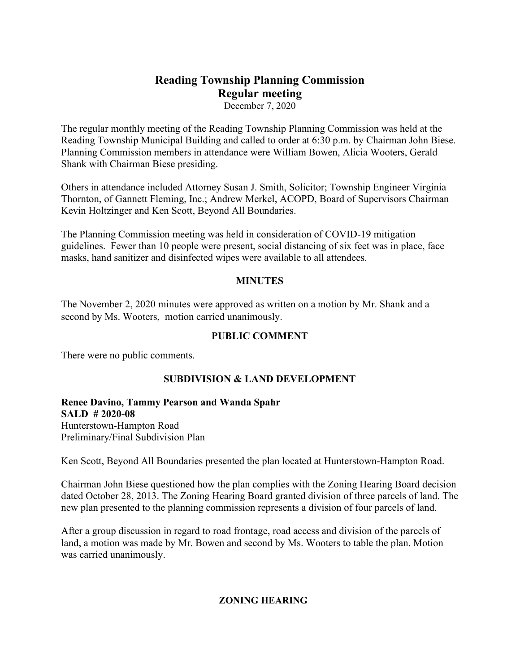# **Reading Township Planning Commission Regular meeting**

December 7, 2020

The regular monthly meeting of the Reading Township Planning Commission was held at the Reading Township Municipal Building and called to order at 6:30 p.m. by Chairman John Biese. Planning Commission members in attendance were William Bowen, Alicia Wooters, Gerald Shank with Chairman Biese presiding.

Others in attendance included Attorney Susan J. Smith, Solicitor; Township Engineer Virginia Thornton, of Gannett Fleming, Inc.; Andrew Merkel, ACOPD, Board of Supervisors Chairman Kevin Holtzinger and Ken Scott, Beyond All Boundaries.

The Planning Commission meeting was held in consideration of COVID-19 mitigation guidelines. Fewer than 10 people were present, social distancing of six feet was in place, face masks, hand sanitizer and disinfected wipes were available to all attendees.

## **MINUTES**

The November 2, 2020 minutes were approved as written on a motion by Mr. Shank and a second by Ms. Wooters, motion carried unanimously.

## **PUBLIC COMMENT**

There were no public comments.

## **SUBDIVISION & LAND DEVELOPMENT**

**Renee Davino, Tammy Pearson and Wanda Spahr SALD # 2020-08** Hunterstown-Hampton Road Preliminary/Final Subdivision Plan

Ken Scott, Beyond All Boundaries presented the plan located at Hunterstown-Hampton Road.

Chairman John Biese questioned how the plan complies with the Zoning Hearing Board decision dated October 28, 2013. The Zoning Hearing Board granted division of three parcels of land. The new plan presented to the planning commission represents a division of four parcels of land.

After a group discussion in regard to road frontage, road access and division of the parcels of land, a motion was made by Mr. Bowen and second by Ms. Wooters to table the plan. Motion was carried unanimously.

#### **ZONING HEARING**